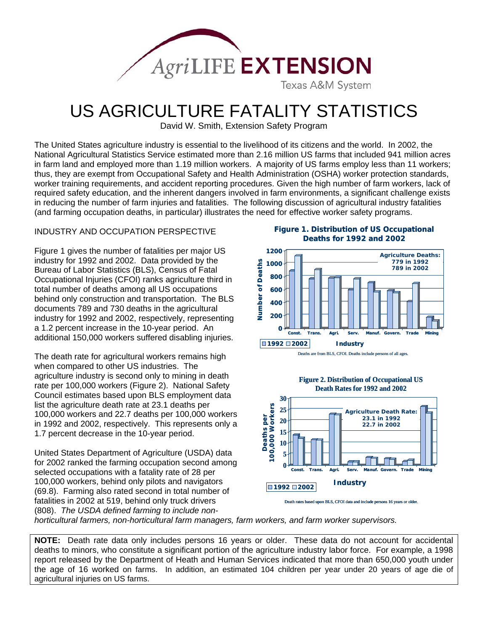

# US AGRICULTURE FATALITY STATISTICS

David W. Smith, Extension Safety Program

The United States agriculture industry is essential to the livelihood of its citizens and the world. In 2002, the National Agricultural Statistics Service estimated more than 2.16 million US farms that included 941 million acres in farm land and employed more than 1.19 million workers. A majority of US farms employ less than 11 workers; thus, they are exempt from Occupational Safety and Health Administration (OSHA) worker protection standards, worker training requirements, and accident reporting procedures. Given the high number of farm workers, lack of required safety education, and the inherent dangers involved in farm environments, a significant challenge exists in reducing the number of farm injuries and fatalities. The following discussion of agricultural industry fatalities (and farming occupation deaths, in particular) illustrates the need for effective worker safety programs.

# INDUSTRY AND OCCUPATION PERSPECTIVE

Figure 1 gives the number of fatalities per major US industry for 1992 and 2002. Data provided by the Bureau of Labor Statistics (BLS), Census of Fatal Occupational Injuries (CFOI) ranks agriculture third in total number of deaths among all US occupations behind only construction and transportation. The BLS documents 789 and 730 deaths in the agricultural industry for 1992 and 2002, respectively, representing a 1.2 percent increase in the 10-year period. An additional 150,000 workers suffered disabling injuries.

The death rate for agricultural workers remains high when compared to other US industries. The agriculture industry is second only to mining in death rate per 100,000 workers (Figure 2). National Safety Council estimates based upon BLS employment d ata list the agriculture death rate at 23.1 deaths per 100,000 workers and 22.7 deaths per 100,000 work ers in 1992 and 2002, respectively. This repr esents only a .7 percent decrease in the 10-year period. 1

for 2002 ranked the farming occupation second among (69.8). Farming also rated second in total number of United States Department of Agriculture (USDA) data selected occupations with a fatality rate of 28 per 100,000 workers, behind only pilots and navigators fatalities in 2002 at 519, behind only truck drivers (808). *The USDA defined farming to include non-*

**Figure 1. Distribution of US Occupational Deaths for 1992 and 2002**









Death rates based upon BLS, CFOI data and include persons 16 years or older.

*orticultural farmers, non-horticultural farm managers, farm workers, and farm worker supervisors. h*

**NOTE:** Death rate data only includes persons 16 years or older. These data do not account for accidental deaths to minors, who constitute a significant portion of the agriculture industry labor force. For example, a 1998 report released by the Department of Heath and Human Services indicated that more than 650,000 youth under the age of 16 worked on farms. In addition, an estimated 104 children per year under 20 years of age die of agricultural injuries on US farms.